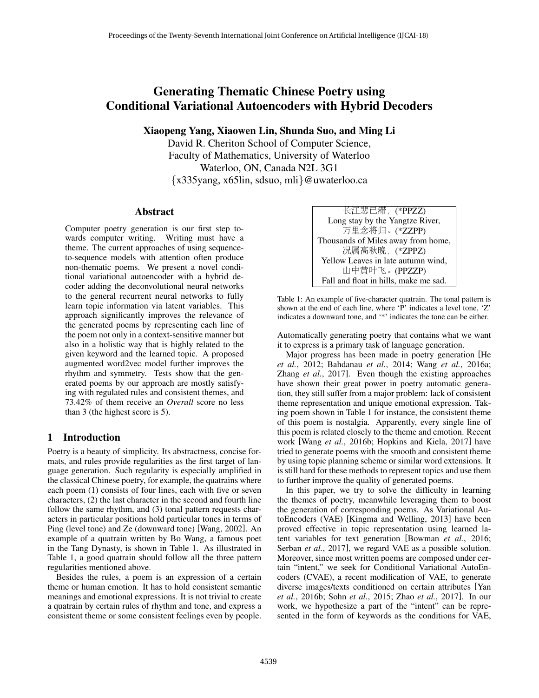# Generating Thematic Chinese Poetry using Conditional Variational Autoencoders with Hybrid Decoders

Xiaopeng Yang, Xiaowen Lin, Shunda Suo, and Ming Li

David R. Cheriton School of Computer Science, Faculty of Mathematics, University of Waterloo Waterloo, ON, Canada N2L 3G1 {x335yang, x65lin, sdsuo, mli}@uwaterloo.ca

### Abstract

Computer poetry generation is our first step towards computer writing. Writing must have a theme. The current approaches of using sequenceto-sequence models with attention often produce non-thematic poems. We present a novel conditional variational autoencoder with a hybrid decoder adding the deconvolutional neural networks to the general recurrent neural networks to fully learn topic information via latent variables. This approach significantly improves the relevance of the generated poems by representing each line of the poem not only in a context-sensitive manner but also in a holistic way that is highly related to the given keyword and the learned topic. A proposed augmented word2vec model further improves the rhythm and symmetry. Tests show that the generated poems by our approach are mostly satisfying with regulated rules and consistent themes, and 73.42% of them receive an *Overall* score no less than 3 (the highest score is 5).

# 1 Introduction

Poetry is a beauty of simplicity. Its abstractness, concise formats, and rules provide regularities as the first target of language generation. Such regularity is especially amplified in the classical Chinese poetry, for example, the quatrains where each poem (1) consists of four lines, each with five or seven characters, (2) the last character in the second and fourth line follow the same rhythm, and (3) tonal pattern requests characters in particular positions hold particular tones in terms of Ping (level tone) and Ze (downward tone) [Wang, 2002]. An example of a quatrain written by Bo Wang, a famous poet in the Tang Dynasty, is shown in Table 1. As illustrated in Table 1, a good quatrain should follow all the three pattern regularities mentioned above.

Besides the rules, a poem is an expression of a certain theme or human emotion. It has to hold consistent semantic meanings and emotional expressions. It is not trivial to create a quatrain by certain rules of rhythm and tone, and express a consistent theme or some consistent feelings even by people.

长江悲已滞,(\*PPZZ) Long stay by the Yangtze River, <sup>万</sup>里念将归。(\*ZZPP) Thousands of Miles away from home, <sup>况</sup>属高秋晚,(\*ZPPZ) Yellow Leaves in late autumn wind, 山中黄叶飞。(PPZZP) Fall and float in hills, make me sad.

Table 1: An example of five-character quatrain. The tonal pattern is shown at the end of each line, where 'P' indicates a level tone, 'Z' indicates a downward tone, and '\*' indicates the tone can be either.

Automatically generating poetry that contains what we want it to express is a primary task of language generation.

Major progress has been made in poetry generation [He *et al.*, 2012; Bahdanau *et al.*, 2014; Wang *et al.*, 2016a; Zhang *et al.*, 2017]. Even though the existing approaches have shown their great power in poetry automatic generation, they still suffer from a major problem: lack of consistent theme representation and unique emotional expression. Taking poem shown in Table 1 for instance, the consistent theme of this poem is nostalgia. Apparently, every single line of this poem is related closely to the theme and emotion. Recent work [Wang *et al.*, 2016b; Hopkins and Kiela, 2017] have tried to generate poems with the smooth and consistent theme by using topic planning scheme or similar word extensions. It is still hard for these methods to represent topics and use them to further improve the quality of generated poems.

In this paper, we try to solve the difficulty in learning the themes of poetry, meanwhile leveraging them to boost the generation of corresponding poems. As Variational AutoEncoders (VAE) [Kingma and Welling, 2013] have been proved effective in topic representation using learned latent variables for text generation [Bowman *et al.*, 2016; Serban *et al.*, 2017], we regard VAE as a possible solution. Moreover, since most written poems are composed under certain "intent," we seek for Conditional Variational AutoEncoders (CVAE), a recent modification of VAE, to generate diverse images/texts conditioned on certain attributes [Yan *et al.*, 2016b; Sohn *et al.*, 2015; Zhao *et al.*, 2017]. In our work, we hypothesize a part of the "intent" can be represented in the form of keywords as the conditions for VAE,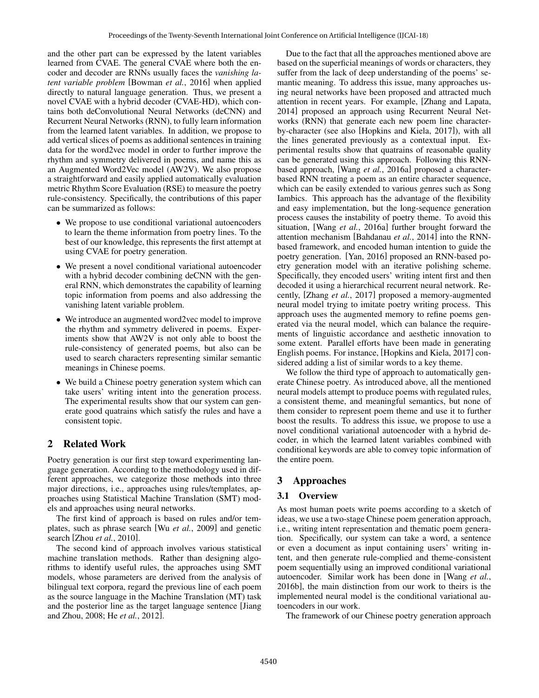and the other part can be expressed by the latent variables learned from CVAE. The general CVAE where both the encoder and decoder are RNNs usually faces the *vanishing latent variable problem* [Bowman *et al.*, 2016] when applied directly to natural language generation. Thus, we present a novel CVAE with a hybrid decoder (CVAE-HD), which contains both deConvolutional Neural Networks (deCNN) and Recurrent Neural Networks (RNN), to fully learn information from the learned latent variables. In addition, we propose to add vertical slices of poems as additional sentences in training data for the word2vec model in order to further improve the rhythm and symmetry delivered in poems, and name this as an Augmented Word2Vec model (AW2V). We also propose a straightforward and easily applied automatically evaluation metric Rhythm Score Evaluation (RSE) to measure the poetry rule-consistency. Specifically, the contributions of this paper can be summarized as follows:

- We propose to use conditional variational autoencoders to learn the theme information from poetry lines. To the best of our knowledge, this represents the first attempt at using CVAE for poetry generation.
- We present a novel conditional variational autoencoder with a hybrid decoder combining deCNN with the general RNN, which demonstrates the capability of learning topic information from poems and also addressing the vanishing latent variable problem.
- We introduce an augmented word2vec model to improve the rhythm and symmetry delivered in poems. Experiments show that AW2V is not only able to boost the rule-consistency of generated poems, but also can be used to search characters representing similar semantic meanings in Chinese poems.
- We build a Chinese poetry generation system which can take users' writing intent into the generation process. The experimental results show that our system can generate good quatrains which satisfy the rules and have a consistent topic.

# 2 Related Work

Poetry generation is our first step toward experimenting language generation. According to the methodology used in different approaches, we categorize those methods into three major directions, i.e., approaches using rules/templates, approaches using Statistical Machine Translation (SMT) models and approaches using neural networks.

The first kind of approach is based on rules and/or templates, such as phrase search [Wu *et al.*, 2009] and genetic search [Zhou *et al.*, 2010].

The second kind of approach involves various statistical machine translation methods. Rather than designing algorithms to identify useful rules, the approaches using SMT models, whose parameters are derived from the analysis of bilingual text corpora, regard the previous line of each poem as the source language in the Machine Translation (MT) task and the posterior line as the target language sentence [Jiang and Zhou, 2008; He *et al.*, 2012].

Due to the fact that all the approaches mentioned above are based on the superficial meanings of words or characters, they suffer from the lack of deep understanding of the poems' semantic meaning. To address this issue, many approaches using neural networks have been proposed and attracted much attention in recent years. For example, [Zhang and Lapata, 2014] proposed an approach using Recurrent Neural Networks (RNN) that generate each new poem line characterby-character (see also [Hopkins and Kiela, 2017]), with all the lines generated previously as a contextual input. Experimental results show that quatrains of reasonable quality can be generated using this approach. Following this RNNbased approach, [Wang *et al.*, 2016a] proposed a characterbased RNN treating a poem as an entire character sequence, which can be easily extended to various genres such as Song Iambics. This approach has the advantage of the flexibility and easy implementation, but the long-sequence generation process causes the instability of poetry theme. To avoid this situation, [Wang *et al.*, 2016a] further brought forward the attention mechanism [Bahdanau *et al.*, 2014] into the RNNbased framework, and encoded human intention to guide the poetry generation. [Yan, 2016] proposed an RNN-based poetry generation model with an iterative polishing scheme. Specifically, they encoded users' writing intent first and then decoded it using a hierarchical recurrent neural network. Recently, [Zhang *et al.*, 2017] proposed a memory-augmented neural model trying to imitate poetry writing process. This approach uses the augmented memory to refine poems generated via the neural model, which can balance the requirements of linguistic accordance and aesthetic innovation to some extent. Parallel efforts have been made in generating English poems. For instance, [Hopkins and Kiela, 2017] considered adding a list of similar words to a key theme.

We follow the third type of approach to automatically generate Chinese poetry. As introduced above, all the mentioned neural models attempt to produce poems with regulated rules, a consistent theme, and meaningful semantics, but none of them consider to represent poem theme and use it to further boost the results. To address this issue, we propose to use a novel conditional variational autoencoder with a hybrid decoder, in which the learned latent variables combined with conditional keywords are able to convey topic information of the entire poem.

# 3 Approaches

## 3.1 Overview

As most human poets write poems according to a sketch of ideas, we use a two-stage Chinese poem generation approach, i.e., writing intent representation and thematic poem generation. Specifically, our system can take a word, a sentence or even a document as input containing users' writing intent, and then generate rule-complied and theme-consistent poem sequentially using an improved conditional variational autoencoder. Similar work has been done in [Wang *et al.*, 2016b], the main distinction from our work to theirs is the implemented neural model is the conditional variational autoencoders in our work.

The framework of our Chinese poetry generation approach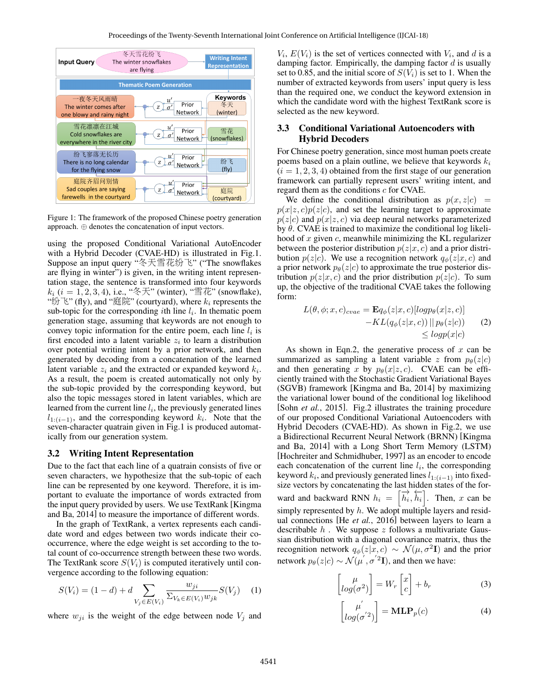

Figure 1: The framework of the proposed Chinese poetry generation approach. ⊕ denotes the concatenation of input vectors.

using the proposed Conditional Variational AutoEncoder with a Hybrid Decoder (CVAE-HD) is illustrated in Fig.1. Suppose an input query "冬天雪花纷飞" ("The snowflakes are flying in winter") is given, in the writing intent representation stage, the sentence is transformed into four keywords  $k_i$  ( $i = 1, 2, 3, 4$ ), i.e., "冬天" (winter), "雪花" (snowflake), "纷飞" (fly), and "庭院" (courtyard), where  $k_i$  represents the sub-topic for the corresponding *i*th line  $l_i$ . In thematic poem generation stage, assuming that keywords are not enough to convey topic information for the entire poem, each line  $l_i$  is first encoded into a latent variable  $z_i$  to learn a distribution over potential writing intent by a prior network, and then generated by decoding from a concatenation of the learned latent variable  $z_i$  and the extracted or expanded keyword  $k_i$ . As a result, the poem is created automatically not only by the sub-topic provided by the corresponding keyword, but also the topic messages stored in latent variables, which are learned from the current line  $l_i$ , the previously generated lines  $l_{1:(i-1)}$ , and the corresponding keyword  $k_i$ . Note that the seven-character quatrain given in Fig.1 is produced automatically from our generation system.

#### 3.2 Writing Intent Representation

Due to the fact that each line of a quatrain consists of five or seven characters, we hypothesize that the sub-topic of each line can be represented by one keyword. Therefore, it is important to evaluate the importance of words extracted from the input query provided by users. We use TextRank [Kingma and Ba, 2014] to measure the importance of different words.

In the graph of TextRank, a vertex represents each candidate word and edges between two words indicate their cooccurrence, where the edge weight is set according to the total count of co-occurrence strength between these two words. The TextRank score  $S(V_i)$  is computed iteratively until convergence according to the following equation:

$$
S(V_i) = (1 - d) + d \sum_{V_j \in E(V_i)} \frac{w_{ji}}{\sum_{V_k \in E(V_i)} w_{jk}} S(V_j)
$$
 (1)

where  $w_{ji}$  is the weight of the edge between node  $V_j$  and

 $V_i$ ,  $E(V_i)$  is the set of vertices connected with  $V_i$ , and d is a damping factor. Empirically, the damping factor  $d$  is usually set to 0.85, and the initial score of  $S(V_i)$  is set to 1. When the number of extracted keywords from users' input query is less than the required one, we conduct the keyword extension in which the candidate word with the highest TextRank score is selected as the new keyword.

### 3.3 Conditional Variational Autoencoders with Hybrid Decoders

For Chinese poetry generation, since most human poets create poems based on a plain outline, we believe that keywords  $k_i$  $(i = 1, 2, 3, 4)$  obtained from the first stage of our generation framework can partially represent users' writing intent, and regard them as the conditions c for CVAE.

We define the conditional distribution as  $p(x, z|c)$  =  $p(x|z, c)p(z|c)$ , and set the learning target to approximate  $p(z|c)$  and  $p(x|z, c)$  via deep neural networks parameterized by  $\theta$ . CVAE is trained to maximize the conditional log likelihood of x given  $c$ , meanwhile minimizing the KL regularizer between the posterior distribution  $p(z|x, c)$  and a prior distribution  $p(z|c)$ . We use a recognition network  $q_{\phi}(z|x, c)$  and a prior network  $p_{\theta}(z|c)$  to approximate the true posterior distribution  $p(z|x, c)$  and the prior distribution  $p(z|c)$ . To sum up, the objective of the traditional CVAE takes the following form:

$$
L(\theta, \phi; x, c)_{cvae} = \mathbf{E}q_{\phi}(z|x, c)[log p_{\theta}(x|z, c)] - KL(q_{\phi}(z|x, c)) || p_{\theta}(z|c)) \qquad (2)
$$
  

$$
\leq log p(x|c)
$$

As shown in Eqn.2, the generative process of  $x$  can be summarized as sampling a latent variable z from  $p_{\theta}(z|c)$ and then generating x by  $p_{\theta}(x|z, c)$ . CVAE can be efficiently trained with the Stochastic Gradient Variational Bayes (SGVB) framework [Kingma and Ba, 2014] by maximizing the variational lower bound of the conditional log likelihood [Sohn *et al.*, 2015]. Fig.2 illustrates the training procedure of our proposed Conditional Variational Autoencoders with Hybrid Decoders (CVAE-HD). As shown in Fig.2, we use a Bidirectional Recurrent Neural Network (BRNN) [Kingma and Ba, 2014] with a Long Short Term Memory (LSTM) [Hochreiter and Schmidhuber, 1997] as an encoder to encode each concatenation of the current line  $l_i$ , the corresponding keyword  $k_i$ , and previously generated lines  $l_{1:(i-1)}$  into fixedsize vectors by concatenating the last hidden states of the forward and backward RNN  $h_i = [\overrightarrow{h_i}, \overleftarrow{h_i}]$ . Then, x can be simply represented by  $h$ . We adopt multiple layers and residual connections [He *et al.*, 2016] between layers to learn a describable  $h$ . We suppose  $z$  follows a multivariate Gaussian distribution with a diagonal covariance matrix, thus the recognition network  $q_{\phi}(z|x,c) \sim \mathcal{N}(\mu, \sigma^2 \mathbf{I})$  and the prior network  $p_{\theta}(z|c) \sim \mathcal{N}(\mu^{'}, \sigma^{'2}\mathbf{I})$ , and then we have:

$$
\begin{bmatrix} \mu \\ log(\sigma^2) \end{bmatrix} = W_r \begin{bmatrix} x \\ c \end{bmatrix} + b_r \tag{3}
$$

$$
\begin{bmatrix} \mu' \\ log(\sigma^{'2}) \end{bmatrix} = \mathbf{MLP}_p(c) \tag{4}
$$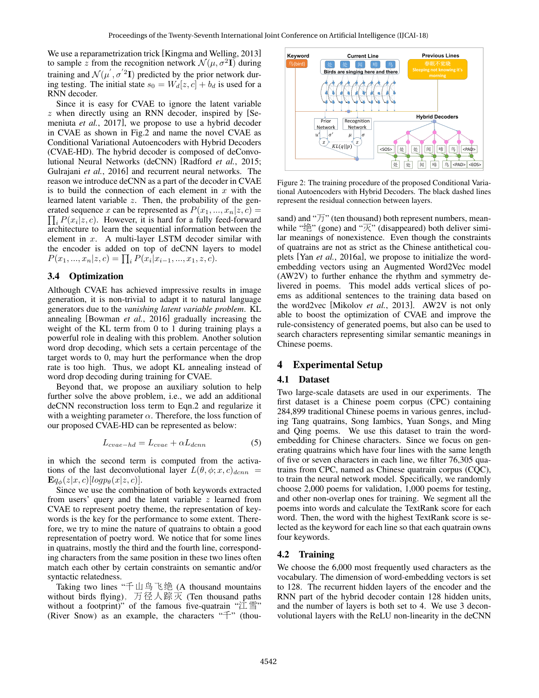We use a reparametrization trick [Kingma and Welling, 2013] to sample z from the recognition network  $\mathcal{N}(\mu, \sigma^2 \mathbf{I})$  during training and  $\mathcal{N}(\mu^{'}, \sigma^{'2}\mathbf{I})$  predicted by the prior network during testing. The initial state  $s_0 = W_d[z, c] + b_d$  is used for a RNN decoder.

Since it is easy for CVAE to ignore the latent variable z when directly using an RNN decoder, inspired by [Semeniuta *et al.*, 2017], we propose to use a hybrid decoder in CVAE as shown in Fig.2 and name the novel CVAE as Conditional Variational Autoencoders with Hybrid Decoders (CVAE-HD). The hybrid decoder is composed of deConvolutional Neural Networks (deCNN) [Radford *et al.*, 2015; Gulrajani *et al.*, 2016] and recurrent neural networks. The reason we introduce deCNN as a part of the decoder in CVAE is to build the connection of each element in  $x$  with the learned latent variable z. Then, the probability of the generated sequence x can be represented as  $P(x_1, ..., x_n | z, c) =$  $\prod_i P(x_i|z, c)$ . However, it is hard for a fully feed-forward architecture to learn the sequential information between the element in x. A multi-layer LSTM decoder similar with the encoder is added on top of deCNN layers to model  $P(x_1, ..., x_n | z, c) = \prod_i P(x_i | x_{i-1}, ..., x_1, z, c).$ 

## 3.4 Optimization

Although CVAE has achieved impressive results in image generation, it is non-trivial to adapt it to natural language generators due to the *vanishing latent variable problem*. KL annealing [Bowman *et al.*, 2016] gradually increasing the weight of the KL term from 0 to 1 during training plays a powerful role in dealing with this problem. Another solution word drop decoding, which sets a certain percentage of the target words to 0, may hurt the performance when the drop rate is too high. Thus, we adopt KL annealing instead of word drop decoding during training for CVAE.

Beyond that, we propose an auxiliary solution to help further solve the above problem, i.e., we add an additional deCNN reconstruction loss term to Eqn.2 and regularize it with a weighting parameter  $\alpha$ . Therefore, the loss function of our proposed CVAE-HD can be represented as below:

$$
L_{cvae-hd} = L_{cvae} + \alpha L_{dcnn} \tag{5}
$$

in which the second term is computed from the activations of the last deconvolutional layer  $L(\theta, \phi; x, c)_{dcnn}$  =  $\mathbf{E}q_{\phi}(z|x, c)[logp_{\theta}(x|z, c)].$ 

Since we use the combination of both keywords extracted from users' query and the latent variable z learned from CVAE to represent poetry theme, the representation of keywords is the key for the performance to some extent. Therefore, we try to mine the nature of quatrains to obtain a good representation of poetry word. We notice that for some lines in quatrains, mostly the third and the fourth line, corresponding characters from the same position in these two lines often match each other by certain constraints on semantic and/or syntactic relatedness.

Taking two lines "千山鸟飞<sup>绝</sup> (A thousand mountains without birds flying), 万径人踪灭 (Ten thousand paths without a footprint)" of the famous five-quatrain " $\hat{\mathbb{I}} \equiv$ " (River Snow) as an example, the characters "千" (thou-



Figure 2: The training procedure of the proposed Conditional Variational Autoencoders with Hybrid Decoders. The black dashed lines represent the residual connection between layers.

sand) and " $\overline{f}$ " (ten thousand) both represent numbers, meanwhile " $\mathcal{L}$ " (gone) and " $\overline{\mathcal{K}}$ " (disappeared) both deliver similar meanings of nonexistence. Even though the constraints of quatrains are not as strict as the Chinese antithetical couplets [Yan *et al.*, 2016a], we propose to initialize the wordembedding vectors using an Augmented Word2Vec model (AW2V) to further enhance the rhythm and symmetry delivered in poems. This model adds vertical slices of poems as additional sentences to the training data based on the word2vec [Mikolov *et al.*, 2013]. AW2V is not only able to boost the optimization of CVAE and improve the rule-consistency of generated poems, but also can be used to search characters representing similar semantic meanings in Chinese poems.

## 4 Experimental Setup

#### 4.1 Dataset

Two large-scale datasets are used in our experiments. The first dataset is a Chinese poem corpus (CPC) containing 284,899 traditional Chinese poems in various genres, including Tang quatrains, Song Iambics, Yuan Songs, and Ming and Qing poems. We use this dataset to train the wordembedding for Chinese characters. Since we focus on generating quatrains which have four lines with the same length of five or seven characters in each line, we filter 76,305 quatrains from CPC, named as Chinese quatrain corpus (CQC), to train the neural network model. Specifically, we randomly choose 2,000 poems for validation, 1,000 poems for testing, and other non-overlap ones for training. We segment all the poems into words and calculate the TextRank score for each word. Then, the word with the highest TextRank score is selected as the keyword for each line so that each quatrain owns four keywords.

### 4.2 Training

We choose the 6,000 most frequently used characters as the vocabulary. The dimension of word-embedding vectors is set to 128. The recurrent hidden layers of the encoder and the RNN part of the hybrid decoder contain 128 hidden units, and the number of layers is both set to 4. We use 3 deconvolutional layers with the ReLU non-linearity in the deCNN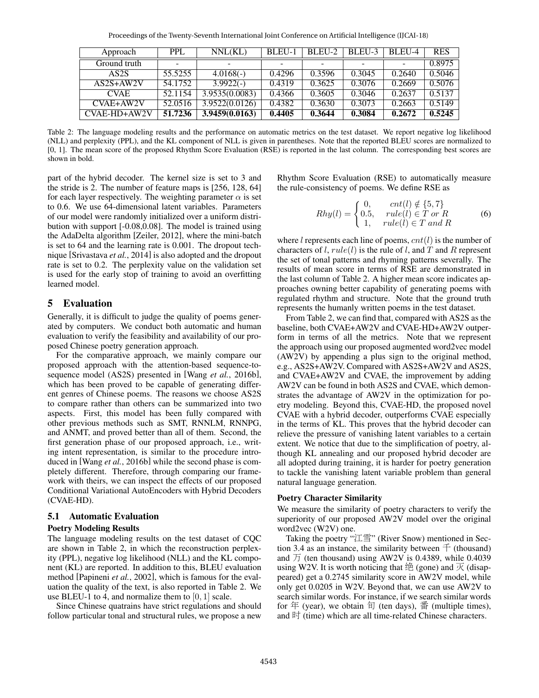| Approach          | <b>PPL</b> | NNL(KL)        | BLEU-1 | BLEU-2 | BLEU-3 | BLEU-4 | <b>RES</b> |
|-------------------|------------|----------------|--------|--------|--------|--------|------------|
| Ground truth      |            | -              |        |        |        |        | 0.8975     |
| AS <sub>2</sub> S | 55.5255    | $4.0168(-)$    | 0.4296 | 0.3596 | 0.3045 | 0.2640 | 0.5046     |
| $AS2S+AW2V$       | 54.1752    | $3.9922(-)$    | 0.4319 | 0.3625 | 0.3076 | 0.2669 | 0.5076     |
| <b>CVAE</b>       | 52.1154    | 3.9535(0.0083) | 0.4366 | 0.3605 | 0.3046 | 0.2637 | 0.5137     |
| $CVAE+AW2V$       | 52.0516    | 3.9522(0.0126) | 0.4382 | 0.3630 | 0.3073 | 0.2663 | 0.5149     |
| CVAE-HD+AW2V      | 51.7236    | 3.9459(0.0163) | 0.4405 | 0.3644 | 0.3084 | 0.2672 | 0.5245     |

Table 2: The language modeling results and the performance on automatic metrics on the test dataset. We report negative log likelihood (NLL) and perplexity (PPL), and the KL component of NLL is given in parentheses. Note that the reported BLEU scores are normalized to [0, 1]. The mean score of the proposed Rhythm Score Evaluation (RSE) is reported in the last column. The corresponding best scores are shown in bold.

part of the hybrid decoder. The kernel size is set to 3 and the stride is 2. The number of feature maps is [256, 128, 64] for each layer respectively. The weighting parameter  $\alpha$  is set to 0.6. We use 64-dimensional latent variables. Parameters of our model were randomly initialized over a uniform distribution with support [-0.08,0.08]. The model is trained using the AdaDelta algorithm [Zeiler, 2012], where the mini-batch is set to 64 and the learning rate is 0.001. The dropout technique [Srivastava *et al.*, 2014] is also adopted and the dropout rate is set to 0.2. The perplexity value on the validation set is used for the early stop of training to avoid an overfitting learned model.

## 5 Evaluation

Generally, it is difficult to judge the quality of poems generated by computers. We conduct both automatic and human evaluation to verify the feasibility and availability of our proposed Chinese poetry generation approach.

For the comparative approach, we mainly compare our proposed approach with the attention-based sequence-tosequence model (AS2S) presented in [Wang *et al.*, 2016b], which has been proved to be capable of generating different genres of Chinese poems. The reasons we choose AS2S to compare rather than others can be summarized into two aspects. First, this model has been fully compared with other previous methods such as SMT, RNNLM, RNNPG, and ANMT, and proved better than all of them. Second, the first generation phase of our proposed approach, i.e., writing intent representation, is similar to the procedure introduced in [Wang *et al.*, 2016b] while the second phase is completely different. Therefore, through comparing our framework with theirs, we can inspect the effects of our proposed Conditional Variational AutoEncoders with Hybrid Decoders (CVAE-HD).

#### 5.1 Automatic Evaluation

#### Poetry Modeling Results

The language modeling results on the test dataset of CQC are shown in Table 2, in which the reconstruction perplexity (PPL), negative log likelihood (NLL) and the KL component (KL) are reported. In addition to this, BLEU evaluation method [Papineni *et al.*, 2002], which is famous for the evaluation the quality of the text, is also reported in Table 2. We use BLEU-1 to 4, and normalize them to  $[0, 1]$  scale.

Since Chinese quatrains have strict regulations and should follow particular tonal and structural rules, we propose a new Rhythm Score Evaluation (RSE) to automatically measure the rule-consistency of poems. We define RSE as

$$
Rhy(l) = \begin{cases} 0, & crit(l) \notin \{5, 7\} \\ 0.5, & rule(l) \in T \text{ or } R \\ 1, & rule(l) \in T \text{ and } R \end{cases} \tag{6}
$$

where l represents each line of poems,  $cnt(l)$  is the number of characters of l,  $rule(l)$  is the rule of l, and T and R represent the set of tonal patterns and rhyming patterns severally. The results of mean score in terms of RSE are demonstrated in the last column of Table 2. A higher mean score indicates approaches owning better capability of generating poems with regulated rhythm and structure. Note that the ground truth represents the humanly written poems in the test dataset.

From Table 2, we can find that, compared with AS2S as the baseline, both CVAE+AW2V and CVAE-HD+AW2V outperform in terms of all the metrics. Note that we represent the approach using our proposed augmented word2vec model (AW2V) by appending a plus sign to the original method, e.g., AS2S+AW2V. Compared with AS2S+AW2V and AS2S, and CVAE+AW2V and CVAE, the improvement by adding AW2V can be found in both AS2S and CVAE, which demonstrates the advantage of AW2V in the optimization for poetry modeling. Beyond this, CVAE-HD, the proposed novel CVAE with a hybrid decoder, outperforms CVAE especially in the terms of KL. This proves that the hybrid decoder can relieve the pressure of vanishing latent variables to a certain extent. We notice that due to the simplification of poetry, although KL annealing and our proposed hybrid decoder are all adopted during training, it is harder for poetry generation to tackle the vanishing latent variable problem than general natural language generation.

#### Poetry Character Similarity

We measure the similarity of poetry characters to verify the superiority of our proposed AW2V model over the original word2vec (W2V) one.

Taking the poetry "江雪" (River Snow) mentioned in Section 3.4 as an instance, the similarity between  $\pm$  (thousand) and  $\overline{J}$  (ten thousand) using AW2V is 0.4389, while 0.4039 using W2V. It is worth noticing that  $\frac{4}{10}$  (gone) and  $\overline{K}$  (disappeared) get a 0.2745 similarity score in AW2V model, while only get 0.0205 in W2V. Beyond that, we can use AW2V to search similar words. For instance, if we search similar words for 年 (year), we obtain 旬 (ten days), 番 (multiple times), and  $\mathbb H$  (time) which are all time-related Chinese characters.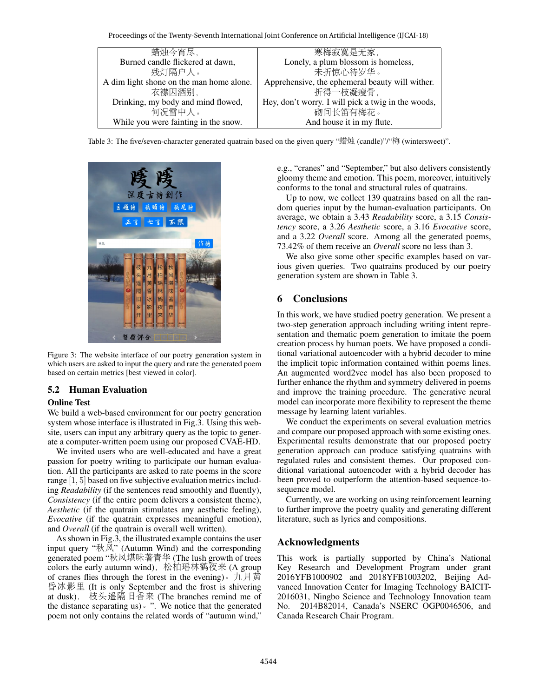Proceedings of the Twenty-Seventh International Joint Conference on Artificial Intelligence (IJCAI-18)

| 蜡烛今宵尽,                                   | 寒梅寂寞是无家,                                           |  |  |  |
|------------------------------------------|----------------------------------------------------|--|--|--|
| Burned candle flickered at dawn,         | Lonely, a plum blossom is homeless,                |  |  |  |
| 残灯隔户人。                                   | 未折惊心待岁华。                                           |  |  |  |
| A dim light shone on the man home alone. | Apprehensive, the ephemeral beauty will wither.    |  |  |  |
| 衣襟因酒别,                                   | 折得一枝凝瘦骨,                                           |  |  |  |
| Drinking, my body and mind flowed,       | Hey, don't worry. I will pick a twig in the woods, |  |  |  |
| 何况雪中人。                                   | 砌间长笛有梅花。                                           |  |  |  |
| While you were fainting in the snow.     | And house it in my flute.                          |  |  |  |

Table 3: The five/seven-character generated quatrain based on the given query "蜡烛 (candle)"/"梅 (wintersweet)".



Figure 3: The website interface of our poetry generation system in which users are asked to input the query and rate the generated poem based on certain metrics [best viewed in color].

## 5.2 Human Evaluation

### Online Test

We build a web-based environment for our poetry generation system whose interface is illustrated in Fig.3. Using this website, users can input any arbitrary query as the topic to generate a computer-written poem using our proposed CVAE-HD.

We invited users who are well-educated and have a great passion for poetry writing to participate our human evaluation. All the participants are asked to rate poems in the score range [1, 5] based on five subjective evaluation metrics including *Readability* (if the sentences read smoothly and fluently), *Consistency* (if the entire poem delivers a consistent theme), *Aesthetic* (if the quatrain stimulates any aesthetic feeling), *Evocative* (if the quatrain expresses meaningful emotion), and *Overall* (if the quatrain is overall well written).

As shown in Fig.3, the illustrated example contains the user input query "秋风" (Autumn Wind) and the corresponding generated poem "秋风堪味著青<sup>华</sup> (The lush growth of trees colors the early autumn wind), 松柏瑶林鹤夜来 (A group of cranes flies through the forest in the evening). 九月黄 <sup>昏</sup>冰影里 (It is only September and the frost is shivering at dusk), <sup>枝</sup>头遥隔旧香<sup>来</sup> (The branches remind me of the distance separating us)。". We notice that the generated poem not only contains the related words of "autumn wind," e.g., "cranes" and "September," but also delivers consistently gloomy theme and emotion. This poem, moreover, intuitively conforms to the tonal and structural rules of quatrains.

Up to now, we collect 139 quatrains based on all the random queries input by the human-evaluation participants. On average, we obtain a 3.43 *Readability* score, a 3.15 *Consistency* score, a 3.26 *Aesthetic* score, a 3.16 *Evocative* score, and a 3.22 *Overall* score. Among all the generated poems, 73.42% of them receive an *Overall* score no less than 3.

We also give some other specific examples based on various given queries. Two quatrains produced by our poetry generation system are shown in Table 3.

# 6 Conclusions

In this work, we have studied poetry generation. We present a two-step generation approach including writing intent representation and thematic poem generation to imitate the poem creation process by human poets. We have proposed a conditional variational autoencoder with a hybrid decoder to mine the implicit topic information contained within poems lines. An augmented word2vec model has also been proposed to further enhance the rhythm and symmetry delivered in poems and improve the training procedure. The generative neural model can incorporate more flexibility to represent the theme message by learning latent variables.

We conduct the experiments on several evaluation metrics and compare our proposed approach with some existing ones. Experimental results demonstrate that our proposed poetry generation approach can produce satisfying quatrains with regulated rules and consistent themes. Our proposed conditional variational autoencoder with a hybrid decoder has been proved to outperform the attention-based sequence-tosequence model.

Currently, we are working on using reinforcement learning to further improve the poetry quality and generating different literature, such as lyrics and compositions.

## Acknowledgments

This work is partially supported by China's National Key Research and Development Program under grant 2016YFB1000902 and 2018YFB1003202, Beijing Advanced Innovation Center for Imaging Technology BAICIT-2016031, Ningbo Science and Technology Innovation team No. 2014B82014, Canada's NSERC OGP0046506, and Canada Research Chair Program.